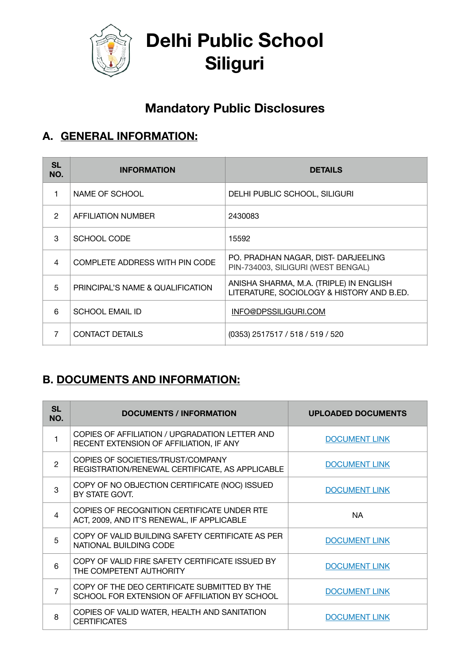

**Delhi Public School Siliguri** 

# **Mandatory Public Disclosures**

## **A. GENERAL INFORMATION:**

| <b>SL</b><br>NO. | <b>INFORMATION</b>               | <b>DETAILS</b>                                                                       |
|------------------|----------------------------------|--------------------------------------------------------------------------------------|
| 1                | NAME OF SCHOOL                   | DELHI PUBLIC SCHOOL, SILIGURI                                                        |
| $\mathcal{P}$    | AFFILIATION NUMBER               | 2430083                                                                              |
| 3                | SCHOOL CODE                      | 15592                                                                                |
| 4                | COMPLETE ADDRESS WITH PIN CODE   | PO. PRADHAN NAGAR, DIST- DARJEELING<br>PIN-734003, SILIGURI (WEST BENGAL)            |
| 5                | PRINCIPAL'S NAME & QUALIFICATION | ANISHA SHARMA, M.A. (TRIPLE) IN ENGLISH<br>LITERATURE, SOCIOLOGY & HISTORY AND B.ED. |
| 6                | SCHOOL EMAIL ID                  | INFO@DPSSILIGURI.COM                                                                 |
| 7                | <b>CONTACT DETAILS</b>           | (0353) 2517517 / 518 / 519 / 520                                                     |

### **B. DOCUMENTS AND INFORMATION:**

| <b>SL</b><br>NO.         | <b>DOCUMENTS / INFORMATION</b>                                                                | <b>UPLOADED DOCUMENTS</b> |
|--------------------------|-----------------------------------------------------------------------------------------------|---------------------------|
| 1                        | COPIES OF AFFILIATION / UPGRADATION LETTER AND<br>RECENT EXTENSION OF AFFILIATION, IF ANY     | <b>DOCUMENT LINK</b>      |
| $\overline{2}$           | COPIES OF SOCIETIES/TRUST/COMPANY<br>REGISTRATION/RENEWAL CERTIFICATE, AS APPLICABLE          | <b>DOCUMENT LINK</b>      |
| 3                        | COPY OF NO OBJECTION CERTIFICATE (NOC) ISSUED<br>BY STATE GOVT.                               | <b>DOCUMENT LINK</b>      |
| $\overline{\mathcal{A}}$ | COPIES OF RECOGNITION CERTIFICATE UNDER RTE<br>ACT, 2009, AND IT'S RENEWAL, IF APPLICABLE     | NA.                       |
| 5                        | COPY OF VALID BUILDING SAFETY CERTIFICATE AS PER<br>NATIONAL BUILDING CODE                    | <b>DOCUMENT LINK</b>      |
| 6                        | COPY OF VALID FIRE SAFETY CERTIFICATE ISSUED BY<br>THE COMPETENT AUTHORITY                    | <b>DOCUMENT LINK</b>      |
| 7                        | COPY OF THE DEO CERTIFICATE SUBMITTED BY THE<br>SCHOOL FOR EXTENSION OF AFFILIATION BY SCHOOL | <b>DOCUMENT LINK</b>      |
| 8                        | COPIES OF VALID WATER, HEALTH AND SANITATION<br><b>CERTIFICATES</b>                           | <b>DOCUMENT LINK</b>      |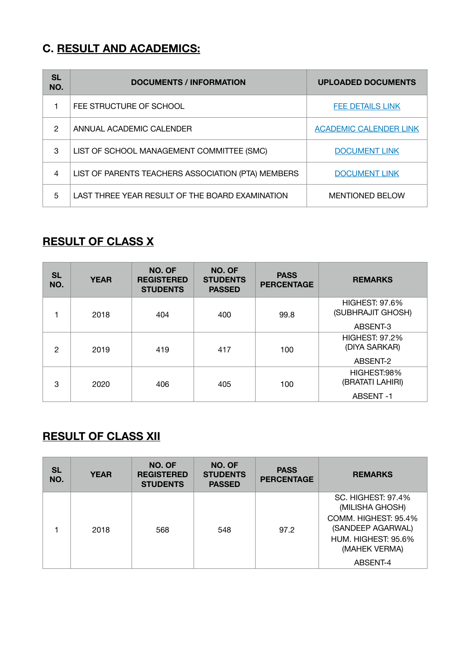#### **C. RESULT AND ACADEMICS:**

| SL<br>NO. | <b>DOCUMENTS / INFORMATION</b>                     | <b>UPLOADED DOCUMENTS</b>     |
|-----------|----------------------------------------------------|-------------------------------|
|           | FEE STRUCTURE OF SCHOOL                            | FEE DETAILS LINK              |
| 2         | ANNUAL ACADEMIC CALENDER                           | <b>ACADEMIC CALENDER LINK</b> |
| 3         | LIST OF SCHOOL MANAGEMENT COMMITTEE (SMC)          | <b>DOCUMENT LINK</b>          |
| 4         | LIST OF PARENTS TEACHERS ASSOCIATION (PTA) MEMBERS | <b>DOCUMENT LINK</b>          |
| 5         | LAST THREE YEAR RESULT OF THE BOARD EXAMINATION    | <b>MENTIONED BELOW</b>        |

#### **RESULT OF CLASS X**

| <b>SL</b><br>NO. | <b>YEAR</b> | NO. OF<br><b>REGISTERED</b><br><b>STUDENTS</b> | NO. OF<br><b>STUDENTS</b><br><b>PASSED</b> | <b>PASS</b><br><b>PERCENTAGE</b> | <b>REMARKS</b>                                         |
|------------------|-------------|------------------------------------------------|--------------------------------------------|----------------------------------|--------------------------------------------------------|
|                  | 2018        | 404                                            | 400                                        | 99.8                             | <b>HIGHEST: 97.6%</b><br>(SUBHRAJIT GHOSH)<br>ABSENT-3 |
| 2                | 2019        | 419                                            | 417                                        | 100                              | <b>HIGHEST: 97.2%</b><br>(DIYA SARKAR)<br>ABSENT-2     |
| 3                | 2020        | 406                                            | 405                                        | 100                              | HIGHEST:98%<br>(BRATATI LAHIRI)<br>ABSENT-1            |

## **RESULT OF CLASS XII**

| <b>SL</b><br>NO. | <b>YEAR</b> | NO. OF<br><b>REGISTERED</b><br><b>STUDENTS</b> | NO. OF<br><b>STUDENTS</b><br><b>PASSED</b> | <b>PASS</b><br><b>PERCENTAGE</b> | <b>REMARKS</b>                                                                    |
|------------------|-------------|------------------------------------------------|--------------------------------------------|----------------------------------|-----------------------------------------------------------------------------------|
|                  |             |                                                |                                            |                                  | <b>SC. HIGHEST: 97.4%</b><br>(MILISHA GHOSH)                                      |
|                  | 2018        | 568                                            | 548                                        | 97.2                             | COMM. HIGHEST: 95.4%<br>(SANDEEP AGARWAL)<br>HUM. HIGHEST: 95.6%<br>(MAHEK VERMA) |
|                  |             |                                                |                                            |                                  | ABSENT-4                                                                          |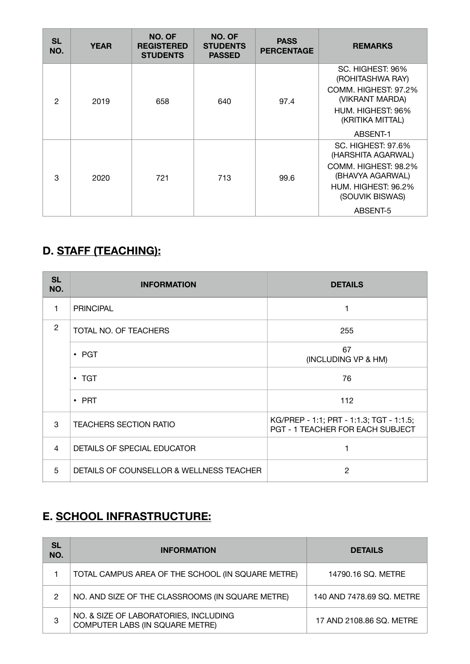| <b>SL</b><br>NO. | <b>YEAR</b> | NO. OF<br><b>REGISTERED</b><br><b>STUDENTS</b> | NO. OF<br><b>STUDENTS</b><br><b>PASSED</b> | <b>PASS</b><br><b>PERCENTAGE</b> | <b>REMARKS</b>                                                                                                                                    |
|------------------|-------------|------------------------------------------------|--------------------------------------------|----------------------------------|---------------------------------------------------------------------------------------------------------------------------------------------------|
| $\mathfrak{p}$   | 2019        | 658                                            | 640                                        | 97.4                             | SC. HIGHEST: 96%<br>(ROHITASHWA RAY)<br>COMM. HIGHEST: 97.2%<br>(VIKRANT MARDA)<br>HUM. HIGHEST: 96%<br>(KRITIKA MITTAL)<br>ABSENT-1              |
| 3                | 2020        | 721                                            | 713                                        | 99.6                             | <b>SC. HIGHEST: 97.6%</b><br>(HARSHITA AGARWAL)<br>COMM. HIGHEST: 98.2%<br>(BHAVYA AGARWAL)<br>HUM. HIGHEST: 96.2%<br>(SOUVIK BISWAS)<br>ABSENT-5 |

## **D. STAFF (TEACHING):**

| <b>SL</b><br>NO. | <b>INFORMATION</b>                       | <b>DETAILS</b>                                                               |
|------------------|------------------------------------------|------------------------------------------------------------------------------|
| 1                | <b>PRINCIPAL</b>                         | 1                                                                            |
| $\overline{2}$   | TOTAL NO. OF TEACHERS                    | 255                                                                          |
|                  | $\cdot$ PGT                              | 67<br>(INCLUDING VP & HM)                                                    |
|                  | $\cdot$ TGT                              | 76                                                                           |
|                  | $\cdot$ PRT                              | 112                                                                          |
| 3                | <b>TEACHERS SECTION RATIO</b>            | KG/PREP - 1:1; PRT - 1:1.3; TGT - 1:1.5;<br>PGT - 1 TEACHER FOR EACH SUBJECT |
| 4                | DETAILS OF SPECIAL EDUCATOR              |                                                                              |
| 5                | DETAILS OF COUNSELLOR & WELLNESS TEACHER | 2                                                                            |

## **E. SCHOOL INFRASTRUCTURE:**

| SL<br>NO. | <b>INFORMATION</b>                                                       | <b>DETAILS</b>            |
|-----------|--------------------------------------------------------------------------|---------------------------|
|           | TOTAL CAMPUS AREA OF THE SCHOOL (IN SQUARE METRE)                        | 14790.16 SQ. METRE        |
| 2         | NO. AND SIZE OF THE CLASSROOMS (IN SQUARE METRE)                         | 140 AND 7478.69 SQ. METRE |
| 3         | NO. & SIZE OF LABORATORIES, INCLUDING<br>COMPUTER LABS (IN SQUARE METRE) | 17 AND 2108.86 SQ. METRE  |